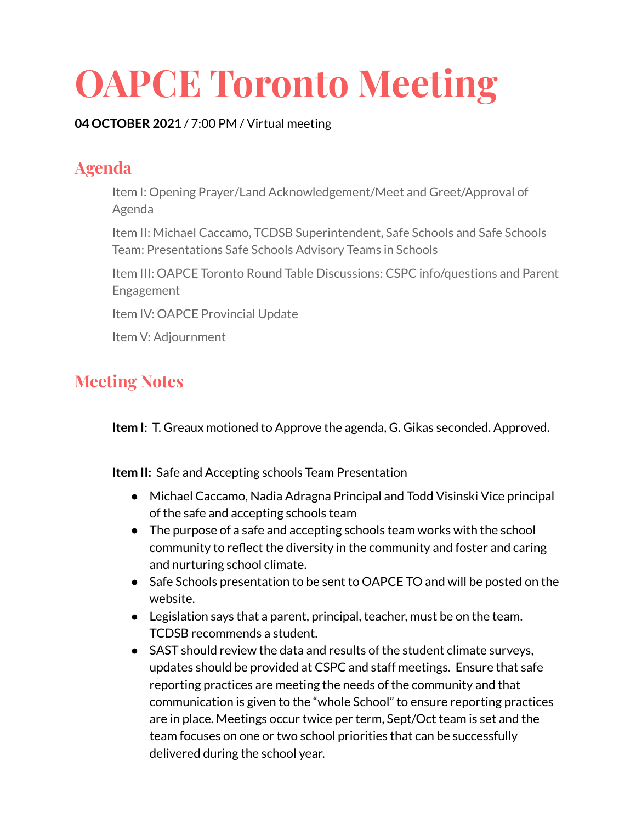# **OAPCE Toronto Meeting**

#### **04 OCTOBER 2021** / 7:00 PM / Virtual meeting

## **Agenda**

Item I: Opening Prayer/Land Acknowledgement/Meet and Greet/Approval of Agenda

Item II: Michael Caccamo, TCDSB Superintendent, Safe Schools and Safe Schools Team: Presentations Safe Schools Advisory Teams in Schools

Item III: OAPCE Toronto Round Table Discussions: CSPC info/questions and Parent Engagement

Item IV: OAPCE Provincial Update

Item V: Adjournment

### **Meeting Notes**

**Item I**: T. Greaux motioned to Approve the agenda, G. Gikas seconded. Approved.

**Item II:** Safe and Accepting schools Team Presentation

- Michael Caccamo, Nadia Adragna Principal and Todd Visinski Vice principal of the safe and accepting schools team
- The purpose of a safe and accepting schools team works with the school community to reflect the diversity in the community and foster and caring and nurturing school climate.
- Safe Schools presentation to be sent to OAPCE TO and will be posted on the website.
- Legislation says that a parent, principal, teacher, must be on the team. TCDSB recommends a student.
- SAST should review the data and results of the student climate surveys, updates should be provided at CSPC and staff meetings. Ensure that safe reporting practices are meeting the needs of the community and that communication is given to the "whole School" to ensure reporting practices are in place. Meetings occur twice per term, Sept/Oct team is set and the team focuses on one or two school priorities that can be successfully delivered during the school year.